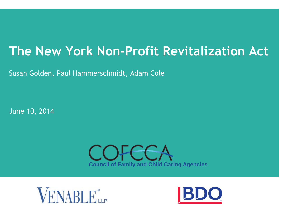# **The New York Non-Profit Revitalization Act**

Susan Golden, Paul Hammerschmidt, Adam Cole

June 10, 2014





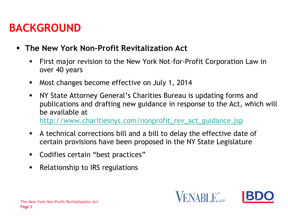### **BACKGROUND**

#### **The New York Non-Profit Revitalization Act**

- First major revision to the New York Not-for-Profit Corporation Law in over 40 years
- **Most changes become effective on July 1, 2014**
- NY State Attorney General's Charities Bureau is updating forms and publications and drafting new guidance in response to the Act, which will be available at [http://www.charitiesnys.com/nonprofit\\_rev\\_act\\_guidance.jsp](http://www.charitiesnys.com/nonprofit_rev_act_guidance.jsp)
- A technical corrections bill and a bill to delay the effective date of certain provisions have been proposed in the NY State Legislature
- Codifies certain "best practices"
- Relationship to IRS regulations

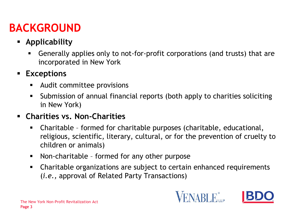### **BACKGROUND**

- **Applicability**
	- Generally applies only to not-for-profit corporations (and trusts) that are incorporated in New York

#### **Exceptions**

- Audit committee provisions
- Submission of annual financial reports (both apply to charities soliciting in New York)

#### **Charities vs. Non-Charities**

- Charitable formed for charitable purposes (charitable, educational, religious, scientific, literary, cultural, or for the prevention of cruelty to children or animals)
- Non-charitable formed for any other purpose
- Charitable organizations are subject to certain enhanced requirements (*i.e.,* approval of Related Party Transactions)



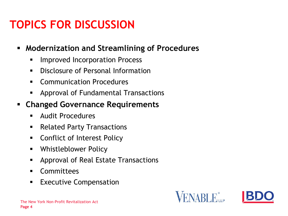### **TOPICS FOR DISCUSSION**

#### **Modernization and Streamlining of Procedures**

- **IMPROVED Incorporation Process**
- **Disclosure of Personal Information**
- **Communication Procedures**
- **EXPPROVAL of Fundamental Transactions**
- **Changed Governance Requirements**
	- Audit Procedures
	- **Related Party Transactions**
	- **EXECONFULLED** Conflict of Interest Policy
	- Whistleblower Policy
	- **EXPPROVAL of Real Estate Transactions**
	- Committees
	- **Executive Compensation**



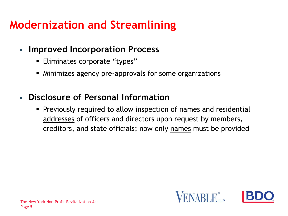### **Modernization and Streamlining**

- **Improved Incorporation Process**
	- **Eliminates corporate "types"**
	- Minimizes agency pre-approvals for some organizations
- **Disclosure of Personal Information**
	- Previously required to allow inspection of names and residential addresses of officers and directors upon request by members, creditors, and state officials; now only names must be provided

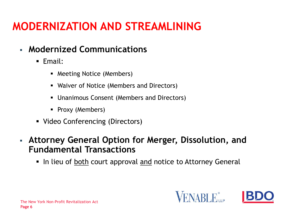### **MODERNIZATION AND STREAMLINING**

- **Modernized Communications**
	- Email:
		- Meeting Notice (Members)
		- Waiver of Notice (Members and Directors)
		- Unanimous Consent (Members and Directors)
		- Proxy (Members)
	- Video Conferencing (Directors)
- **Attorney General Option for Merger, Dissolution, and Fundamental Transactions**
	- In lieu of both court approval and notice to Attorney General

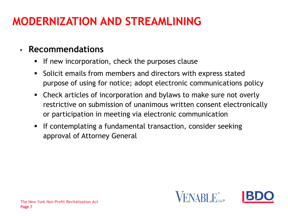### **MODERNIZATION AND STREAMLINING**

### **Recommendations**

- **If new incorporation, check the purposes clause**
- Solicit emails from members and directors with express stated purpose of using for notice; adopt electronic communications policy
- Check articles of incorporation and bylaws to make sure not overly restrictive on submission of unanimous written consent electronically or participation in meeting via electronic communication
- **If contemplating a fundamental transaction, consider seeking** approval of Attorney General

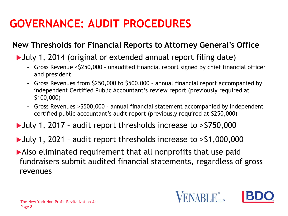# **GOVERNANCE: AUDIT PROCEDURES**

#### **New Thresholds for Financial Reports to Attorney General's Office**

#### July 1, 2014 (original or extended annual report filing date)

- Gross Revenue <\$250,000 unaudited financial report signed by chief financial officer and president
- Gross Revenues from \$250,000 to \$500,000 annual financial report accompanied by independent Certified Public Accountant's review report (previously required at \$100,000)
- Gross Revenues >\$500,000 annual financial statement accompanied by independent certified public accountant's audit report (previously required at \$250,000)
- July 1, 2017 audit report thresholds increase to >\$750,000
- July 1, 2021 audit report thresholds increase to >\$1,000,000
- Also eliminated requirement that all nonprofits that use paid fundraisers submit audited financial statements, regardless of gross revenues

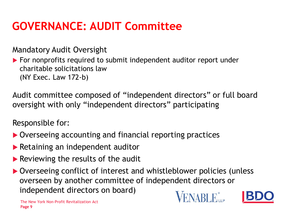### **GOVERNANCE: AUDIT Committee**

Mandatory Audit Oversight

▶ For nonprofits required to submit independent auditor report under charitable solicitations law (NY Exec. Law 172-b)

Audit committee composed of "independent directors" or full board oversight with only "independent directors" participating

Responsible for:

- ▶ Overseeing accounting and financial reporting practices
- **Retaining an independent auditor**
- Reviewing the results of the audit
- ▶ Overseeing conflict of interest and whistleblower policies (unless overseen by another committee of independent directors or independent directors on board)



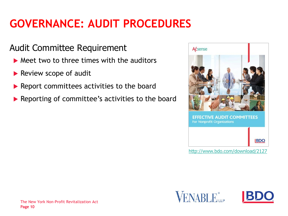# **GOVERNANCE: AUDIT PROCEDURES**

### Audit Committee Requirement

- $\triangleright$  Meet two to three times with the auditors
- Review scope of audit
- ▶ Report committees activities to the board
- ▶ Reporting of committee's activities to the board



<http://www.bdo.com/download/2127>



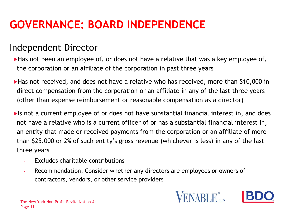### **GOVERNANCE: BOARD INDEPENDENCE**

### Independent Director

Has not been an employee of, or does not have a relative that was a key employee of, the corporation or an affiliate of the corporation in past three years

Has not received, and does not have a relative who has received, more than \$10,000 in direct compensation from the corporation or an affiliate in any of the last three years (other than expense reimbursement or reasonable compensation as a director)

If is not a current employee of or does not have substantial financial interest in, and does not have a relative who is a current officer of or has a substantial financial interest in, an entity that made or received payments from the corporation or an affiliate of more than \$25,000 or 2% of such entity's gross revenue (whichever is less) in any of the last three years

- Excludes charitable contributions
- Recommendation: Consider whether any directors are employees or owners of contractors, vendors, or other service providers



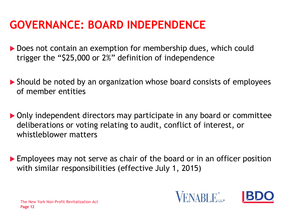### **GOVERNANCE: BOARD INDEPENDENCE**

- Does not contain an exemption for membership dues, which could trigger the "\$25,000 or 2%" definition of independence
- Should be noted by an organization whose board consists of employees of member entities
- Only independent directors may participate in any board or committee deliberations or voting relating to audit, conflict of interest, or whistleblower matters
- **Employees may not serve as chair of the board or in an officer position** with similar responsibilities (effective July 1, 2015)

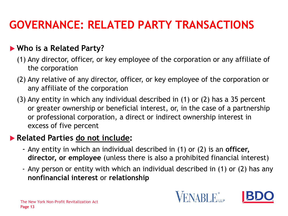### **GOVERNANCE: RELATED PARTY TRANSACTIONS**

#### **Who is a Related Party?**

- (1) Any director, officer, or key employee of the corporation or any affiliate of the corporation
- (2) Any relative of any director, officer, or key employee of the corporation or any affiliate of the corporation
- (3) Any entity in which any individual described in (1) or (2) has a 35 percent or greater ownership or beneficial interest, or, in the case of a partnership or professional corporation, a direct or indirect ownership interest in excess of five percent

#### **Related Parties do not include:**

- Any entity in which an individual described in (1) or (2) is an **officer, director, or employee** (unless there is also a prohibited financial interest)
- Any person or entity with which an individual described in (1) or (2) has any **nonfinancial interest** or **relationship**



ENABLE.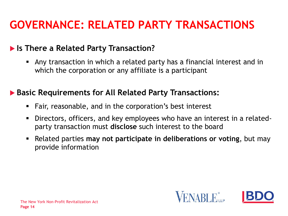### **GOVERNANCE: RELATED PARTY TRANSACTIONS**

#### **Is There a Related Party Transaction?**

 Any transaction in which a related party has a financial interest and in which the corporation or any affiliate is a participant

#### **Basic Requirements for All Related Party Transactions:**

- Fair, reasonable, and in the corporation's best interest
- Directors, officers, and key employees who have an interest in a relatedparty transaction must **disclose** such interest to the board
- Related parties **may not participate in deliberations or voting**, but may provide information

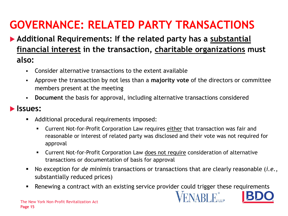# **GOVERNANCE: RELATED PARTY TRANSACTIONS**

### **Additional Requirements: If the related party has a substantial financial interest in the transaction, charitable organizations must also:**

- Consider alternative transactions to the extent available
- Approve the transaction by not less than a **majority vote** of the directors or committee members present at the meeting
- **Document** the basis for approval, including alternative transactions considered

#### **Issues:**

- **Additional procedural requirements imposed:** 
	- Current Not-for-Profit Corporation Law requires either that transaction was fair and reasonable or interest of related party was disclosed and their vote was not required for approval
	- Current Not-for-Profit Corporation Law does not require consideration of alternative transactions or documentation of basis for approval
- No exception for *de minimis* transactions or transactions that are clearly reasonable (*i.e.*, substantially reduced prices)
- **Renewing a contract with an existing service provider could trigger these requirements**

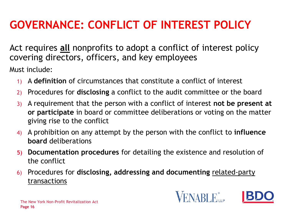# **GOVERNANCE: CONFLICT OF INTEREST POLICY**

Act requires **all** nonprofits to adopt a conflict of interest policy covering directors, officers, and key employees

Must include:

- 1) A **definition** of circumstances that constitute a conflict of interest
- 2) Procedures for **disclosing** a conflict to the audit committee or the board
- 3) A requirement that the person with a conflict of interest **not be present at or participate** in board or committee deliberations or voting on the matter giving rise to the conflict
- 4) A prohibition on any attempt by the person with the conflict to **influence board** deliberations
- **5) Documentation procedures** for detailing the existence and resolution of the conflict
- 6) Procedures for **disclosing, addressing and documenting** related-party transactions

ENABLE.

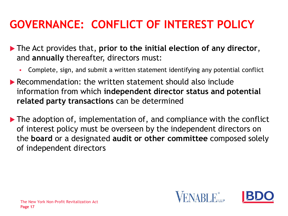# **GOVERNANCE: CONFLICT OF INTEREST POLICY**

- The Act provides that, **prior to the initial election of any director**, and **annually** thereafter, directors must:
	- Complete, sign, and submit a written statement identifying any potential conflict
- ▶ Recommendation: the written statement should also include information from which **independent director status and potential related party transactions** can be determined
- ▶ The adoption of, implementation of, and compliance with the conflict of interest policy must be overseen by the independent directors on the **board** or a designated **audit or other committee** composed solely of independent directors

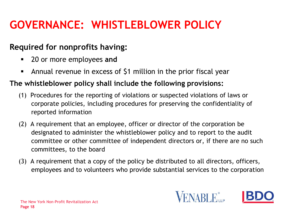### **GOVERNANCE: WHISTLEBLOWER POLICY**

#### **Required for nonprofits having:**

- 20 or more employees **and**
- Annual revenue in excess of \$1 million in the prior fiscal year

#### **The whistleblower policy shall include the following provisions:**

- (1) Procedures for the reporting of violations or suspected violations of laws or corporate policies, including procedures for preserving the confidentiality of reported information
- (2) A requirement that an employee, officer or director of the corporation be designated to administer the whistleblower policy and to report to the audit committee or other committee of independent directors or, if there are no such committees, to the board
- (3) A requirement that a copy of the policy be distributed to all directors, officers, employees and to volunteers who provide substantial services to the corporation

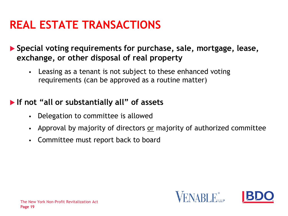### **REAL ESTATE TRANSACTIONS**

 **Special voting requirements for purchase, sale, mortgage, lease, exchange, or other disposal of real property** 

 Leasing as a tenant is not subject to these enhanced voting requirements (can be approved as a routine matter)

#### **If not "all or substantially all" of assets**

- Delegation to committee is allowed
- Approval by majority of directors or majority of authorized committee
- Committee must report back to board

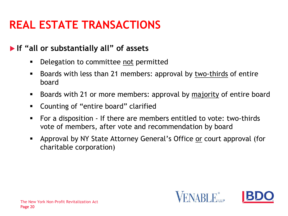### **REAL ESTATE TRANSACTIONS**

#### **If "all or substantially all" of assets**

- **Delegation to committee not permitted**
- **Boards with less than 21 members: approval by two-thirds of entire** board
- Boards with 21 or more members: approval by majority of entire board
- Counting of "entire board" clarified
- For a disposition If there are members entitled to vote: two-thirds vote of members, after vote and recommendation by board
- Approval by NY State Attorney General's Office or court approval (for charitable corporation)

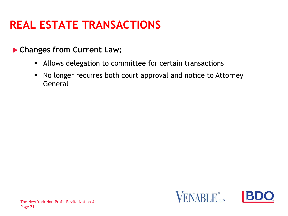### **REAL ESTATE TRANSACTIONS**

#### **Changes from Current Law:**

- Allows delegation to committee for certain transactions
- No longer requires both court approval and notice to Attorney General



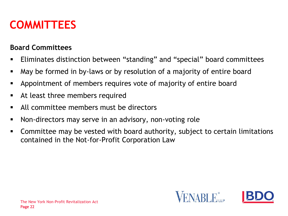### **COMMITTEES**

#### **Board Committees**

- Eliminates distinction between "standing" and "special" board committees
- May be formed in by-laws or by resolution of a majority of entire board
- Appointment of members requires vote of majority of entire board
- At least three members required
- All committee members must be directors
- Non-directors may serve in an advisory, non-voting role
- Committee may be vested with board authority, subject to certain limitations contained in the Not-for-Profit Corporation Law

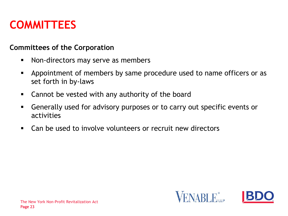### **COMMITTEES**

#### **Committees of the Corporation**

- Non-directors may serve as members
- Appointment of members by same procedure used to name officers or as set forth in by-laws
- Cannot be vested with any authority of the board
- Generally used for advisory purposes or to carry out specific events or activities
- Can be used to involve volunteers or recruit new directors

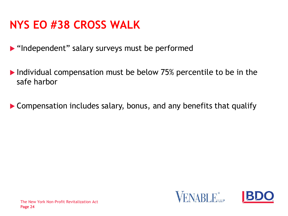### **NYS EO #38 CROSS WALK**

**• "Independent" salary surveys must be performed** 

▶ Individual compensation must be below 75% percentile to be in the safe harbor

Compensation includes salary, bonus, and any benefits that qualify



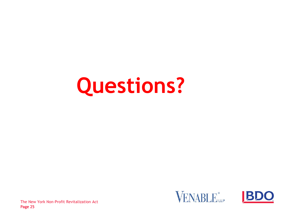# **Questions?**





Page 25 The New York Non-Profit Revitalization Act